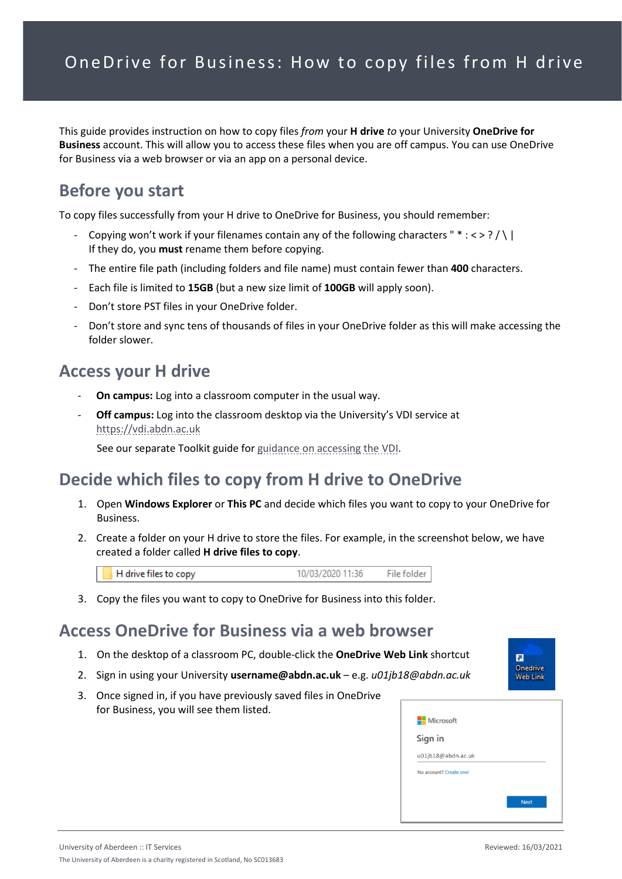This guide provides instruction on how to copy files *from* your **H drive** *to* your University **OneDrive for Business** account. This will allow you to access these files when you are off campus. You can use OneDrive for Business via a web browser or via an app on a personal device.

## **Before you start**

To copy files successfully from your H drive to OneDrive for Business, you should remember:

- Copying won't work if your filenames contain any of the following characters " $* : \langle > ? / \rangle$ If they do, you **must** rename them before copying.
- The entire file path (including folders and file name) must contain fewer than **400** characters.
- Each file is limited to **15GB** (but a new size limit of **100GB** will apply soon).
- Don't store PST files in your OneDrive folder.
- Don't store and sync tens of thousands of files in your OneDrive folder as this will make accessing the folder slower.

#### **Access your H drive**

- **On campus:** Log into a classroom computer in the usual way.
- Off campus: Log into the classroom desktop via the University's VDI service at [https://vdi.abdn.ac.uk](https://vdi.abdn.ac.uk/)

See our separate Toolkit guide fo[r guidance on accessing the VDI.](https://www.abdn.ac.uk/toolkit/documents/uploads/remote-access-vdi.pdf)

#### **Decide which files to copy from H drive to OneDrive**

- 1. Open **Windows Explorer** or **This PC** and decide which files you want to copy to your OneDrive for Business.
- 2. Create a folder on your H drive to store the files. For example, in the screenshot below, we have created a folder called **H drive files to copy**.

H drive files to copy 10/03/2020 11:36 File folder

3. Copy the files you want to copy to OneDrive for Business into this folder.

#### **Access OneDrive for Business via a web browser**

- 1. On the desktop of a classroom PC, double-click the **OneDrive Web Link** shortcut
- 2. Sign in using your University **username@abdn.ac.uk** e.g. *u01jb18@abdn.ac.uk*
- 3. Once signed in, if you have previously saved files in OneDrive for Business, you will see them listed.



п Onedrive **Web Link**